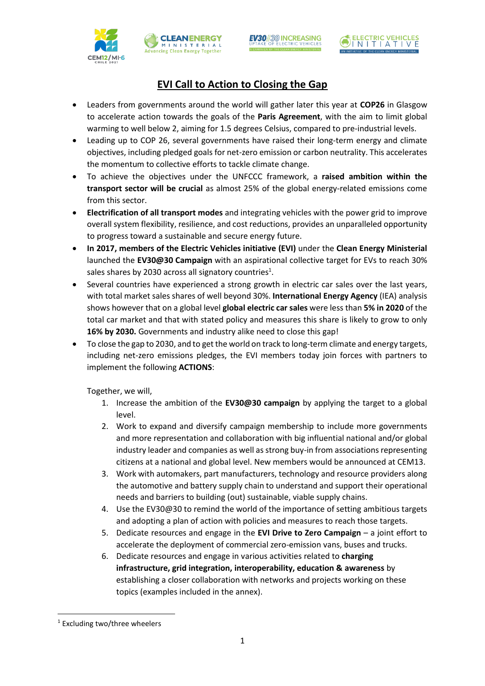





# **EVI Call to Action to Closing the Gap**

**CLEANENERGY** MINISTERIA

- Leaders from governments around the world will gather later this year at **COP26** in Glasgow to accelerate action towards the goals of the **Paris Agreement**, with the aim to limit global warming to well below 2, aiming for 1.5 degrees Celsius, compared to pre-industrial levels.
- Leading up to COP 26, several governments have raised their long-term energy and climate objectives, including pledged goals for net-zero emission or carbon neutrality. This accelerates the momentum to collective efforts to tackle climate change.
- To achieve the objectives under the UNFCCC framework, a **raised ambition within the transport sector will be crucial** as almost 25% of the global energy-related emissions come from this sector.
- **Electrification of all transport modes** and integrating vehicles with the power grid to improve overall system flexibility, resilience, and cost reductions, provides an unparalleled opportunity to progress toward a sustainable and secure energy future.
- **In 2017, members of the Electric Vehicles initiative (EVI)** under the **Clean Energy Ministerial** launched the **EV30@30 Campaign** with an aspirational collective target for EVs to reach 30% sales shares by 2030 across all signatory countries<sup>1</sup>.
- Several countries have experienced a strong growth in electric car sales over the last years, with total market sales shares of well beyond 30%. **International Energy Agency** (IEA) analysis shows however that on a global level **global electric car sales** were less than **5% in 2020** of the total car market and that with stated policy and measures this share is likely to grow to only **16% by 2030.** Governments and industry alike need to close this gap!
- To close the gap to 2030, and to get the world on track to long-term climate and energy targets, including net-zero emissions pledges, the EVI members today join forces with partners to implement the following **ACTIONS**:

Together, we will,

- 1. Increase the ambition of the **EV30@30 campaign** by applying the target to a global level.
- 2. Work to expand and diversify campaign membership to include more governments and more representation and collaboration with big influential national and/or global industry leader and companies as well as strong buy-in from associations representing citizens at a national and global level. New members would be announced at CEM13.
- 3. Work with automakers, part manufacturers, technology and resource providers along the automotive and battery supply chain to understand and support their operational needs and barriers to building (out) sustainable, viable supply chains.
- 4. Use the EV30@30 to remind the world of the importance of setting ambitious targets and adopting a plan of action with policies and measures to reach those targets.
- 5. Dedicate resources and engage in the **EVI Drive to Zero Campaign** a joint effort to accelerate the deployment of commercial zero-emission vans, buses and trucks.
- 6. Dedicate resources and engage in various activities related to **charging infrastructure, grid integration, interoperability, education & awareness** by establishing a closer collaboration with networks and projects working on these topics (examples included in the annex).

1

<sup>1</sup> Excluding two/three wheelers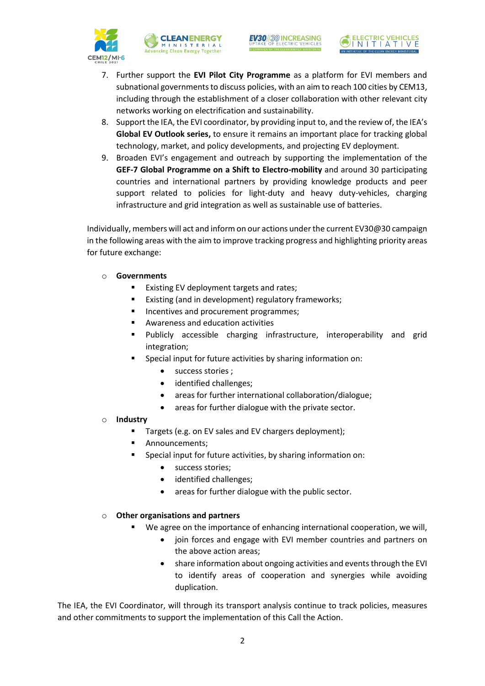





- 7. Further support the **EVI Pilot City Programme** as a platform for EVI members and subnational governments to discuss policies, with an aim to reach 100 cities by CEM13, including through the establishment of a closer collaboration with other relevant city networks working on electrification and sustainability.
- 8. Support the IEA, the EVI coordinator, by providing input to, and the review of, the IEA's **Global EV Outlook series,** to ensure it remains an important place for tracking global technology, market, and policy developments, and projecting EV deployment.
- 9. Broaden EVI's engagement and outreach by supporting the implementation of the **GEF-7 Global Programme on a Shift to Electro-mobility** and around 30 participating countries and international partners by providing knowledge products and peer support related to policies for light-duty and heavy duty-vehicles, charging infrastructure and grid integration as well as sustainable use of batteries.

Individually, members will act and inform on our actions under the current EV30@30 campaign in the following areas with the aim to improve tracking progress and highlighting priority areas for future exchange:

## o **Governments**

- **EXISTIME:** Existing EV deployment targets and rates;
- **Existing (and in development) regulatory frameworks;**
- Incentives and procurement programmes;
- Awareness and education activities
- Publicly accessible charging infrastructure, interoperability and grid integration;
- Special input for future activities by sharing information on:
	- success stories ;
	- identified challenges;
	- areas for further international collaboration/dialogue;
	- areas for further dialogue with the private sector.

## o **Industry**

- Targets (e.g. on EV sales and EV chargers deployment);
- Announcements;
- Special input for future activities, by sharing information on:
	- **•** success stories;
	- identified challenges;
	- areas for further dialogue with the public sector.

## o **Other organisations and partners**

- We agree on the importance of enhancing international cooperation, we will,
	- join forces and engage with EVI member countries and partners on the above action areas;
	- share information about ongoing activities and events through the EVI to identify areas of cooperation and synergies while avoiding duplication.

The IEA, the EVI Coordinator, will through its transport analysis continue to track policies, measures and other commitments to support the implementation of this Call the Action.